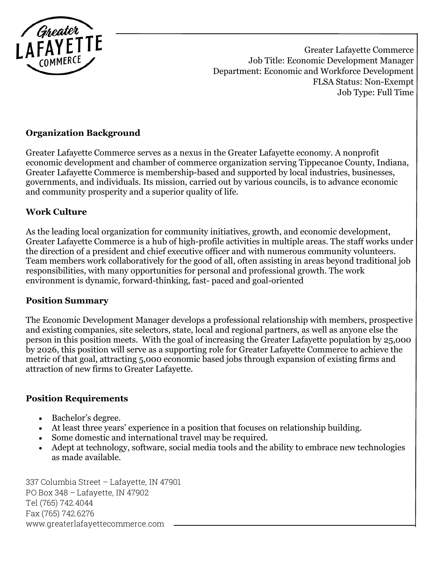

Greater Lafayette Commerce Job Title: Economic Development Manager Department: Economic and Workforce Development FLSA Status: Non-Exempt Job Type: Full Time

## **Organization Background**

Greater Lafayette Commerce serves as a nexus in the Greater Lafayette economy. A nonprofit economic development and chamber of commerce organization serving Tippecanoe County, Indiana, Greater Lafayette Commerce is membership-based and supported by local industries, businesses, governments, and individuals. Its mission, carried out by various councils, is to advance economic and community prosperity and a superior quality of life.

#### **Work Culture**

As the leading local organization for community initiatives, growth, and economic development, Greater Lafayette Commerce is a hub of high-profile activities in multiple areas. The staff works under the direction of a president and chief executive officer and with numerous community volunteers. Team members work collaboratively for the good of all, often assisting in areas beyond traditional job responsibilities, with many opportunities for personal and professional growth. The work environment is dynamic, forward-thinking, fast- paced and goal-oriented

#### **Position Summary**

The Economic Development Manager develops a professional relationship with members, prospective and existing companies, site selectors, state, local and regional partners, as well as anyone else the person in this position meets. With the goal of increasing the Greater Lafayette population by 25,000 by 2026, this position will serve as a supporting role for Greater Lafayette Commerce to achieve the metric of that goal, attracting 5,000 economic based jobs through expansion of existing firms and attraction of new firms to Greater Lafayette.

#### **Position Requirements**

- Bachelor's degree.
- At least three years' experience in a position that focuses on relationship building.
- Some domestic and international travel may be required.
- Adept at technology, software, social media tools and the ability to embrace new technologies as made available.

337 Columbia Street – Lafayette, IN 47901 PO Box 348 – Lafayette, IN 47902 Tel (765) 742.4044 Fax (765) 742.6276 www.greaterlafayettecommerce.com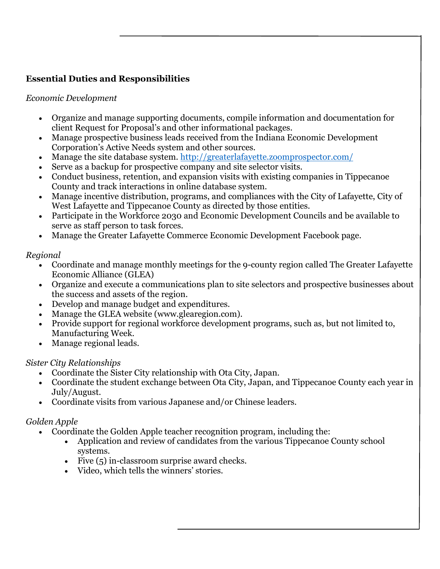# **Essential Duties and Responsibilities**

### *Economic Development*

- Organize and manage supporting documents, compile information and documentation for client Request for Proposal's and other informational packages.
- Manage prospective business leads received from the Indiana Economic Development Corporation's Active Needs system and other sources.
- Manage the site database system.<http://greaterlafayette.zoomprospector.com/>
- Serve as a backup for prospective company and site selector visits.
- Conduct business, retention, and expansion visits with existing companies in Tippecanoe County and track interactions in online database system.
- Manage incentive distribution, programs, and compliances with the City of Lafayette, City of West Lafayette and Tippecanoe County as directed by those entities.
- Participate in the Workforce 2030 and Economic Development Councils and be available to serve as staff person to task forces.
- Manage the Greater Lafayette Commerce Economic Development Facebook page.

### *Regional*

- Coordinate and manage monthly meetings for the 9-county region called The Greater Lafayette Economic Alliance (GLEA)
- Organize and execute a communications plan to site selectors and prospective businesses about the success and assets of the region.
- Develop and manage budget and expenditures.
- Manage the GLEA website (www.glearegion.com).
- Provide support for regional workforce development programs, such as, but not limited to, Manufacturing Week.
- Manage regional leads.

#### *Sister City Relationships*

- Coordinate the Sister City relationship with Ota City, Japan.
- Coordinate the student exchange between Ota City, Japan, and Tippecanoe County each year in July/August.
- Coordinate visits from various Japanese and/or Chinese leaders.

## *Golden Apple*

- Coordinate the Golden Apple teacher recognition program, including the:
	- Application and review of candidates from the various Tippecanoe County school systems.
	- Five (5) in-classroom surprise award checks.
	- Video, which tells the winners' stories.